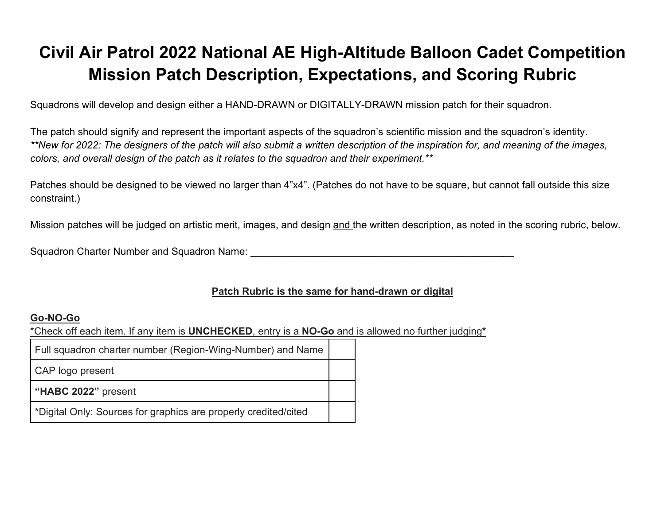## **Civil Air Patrol 2022 National AE High-Altitude Balloon Cadet Competition Mission Patch Description, Expectations, and Scoring Rubric**

Squadrons will develop and design either a HAND-DRAWN or DIGITALLY-DRAWN mission patch for their squadron.

The patch should signify and represent the important aspects of the squadron's scientific mission and the squadron's identity. *\*\*New for 2022: The designers of the patch will also submit a written description of the inspiration for, and meaning of the images, colors, and overall design of the patch as it relates to the squadron and their experiment.\*\**

Patches should be designed to be viewed no larger than 4"x4". (Patches do not have to be square, but cannot fall outside this size constraint.)

Mission patches will be judged on artistic merit, images, and design and the written description, as noted in the scoring rubric, below.

Squadron Charter Number and Squadron Name: **Example 2018** 

## **Patch Rubric is the same for hand-drawn or digital**

## **Go-NO-Go**

\*Check off each item. If any item is **UNCHECKED**, entry is a **NO-Go** and is allowed no further judging**\*** 

| Full squadron charter number (Region-Wing-Number) and Name      |  |
|-----------------------------------------------------------------|--|
| CAP logo present                                                |  |
| "HABC 2022" present                                             |  |
| *Digital Only: Sources for graphics are properly credited/cited |  |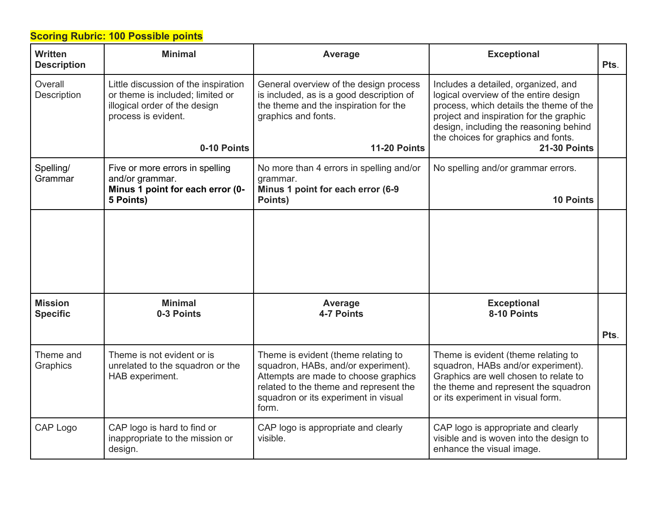## **Scoring Rubric: 100 Possible points**

| Written<br><b>Description</b>     | <b>Minimal</b>                                                                                                                   | Average                                                                                                                                                                                                       | <b>Exceptional</b>                                                                                                                                                                                                                                  | Pts. |
|-----------------------------------|----------------------------------------------------------------------------------------------------------------------------------|---------------------------------------------------------------------------------------------------------------------------------------------------------------------------------------------------------------|-----------------------------------------------------------------------------------------------------------------------------------------------------------------------------------------------------------------------------------------------------|------|
| Overall<br><b>Description</b>     | Little discussion of the inspiration<br>or theme is included; limited or<br>illogical order of the design<br>process is evident. | General overview of the design process<br>is included, as is a good description of<br>the theme and the inspiration for the<br>graphics and fonts.                                                            | Includes a detailed, organized, and<br>logical overview of the entire design<br>process, which details the theme of the<br>project and inspiration for the graphic<br>design, including the reasoning behind<br>the choices for graphics and fonts. |      |
|                                   | 0-10 Points                                                                                                                      | <b>11-20 Points</b>                                                                                                                                                                                           | <b>21-30 Points</b>                                                                                                                                                                                                                                 |      |
| Spelling/<br>Grammar              | Five or more errors in spelling<br>and/or grammar.<br>Minus 1 point for each error (0-                                           | No more than 4 errors in spelling and/or<br>grammar.<br>Minus 1 point for each error (6-9                                                                                                                     | No spelling and/or grammar errors.                                                                                                                                                                                                                  |      |
|                                   | 5 Points)                                                                                                                        | Points)                                                                                                                                                                                                       | <b>10 Points</b>                                                                                                                                                                                                                                    |      |
|                                   |                                                                                                                                  |                                                                                                                                                                                                               |                                                                                                                                                                                                                                                     |      |
| <b>Mission</b><br><b>Specific</b> | <b>Minimal</b><br>0-3 Points                                                                                                     | Average<br>4-7 Points                                                                                                                                                                                         | <b>Exceptional</b><br>8-10 Points                                                                                                                                                                                                                   |      |
|                                   |                                                                                                                                  |                                                                                                                                                                                                               |                                                                                                                                                                                                                                                     | Pts. |
| Theme and<br>Graphics             | Theme is not evident or is<br>unrelated to the squadron or the<br>HAB experiment.                                                | Theme is evident (theme relating to<br>squadron, HABs, and/or experiment).<br>Attempts are made to choose graphics<br>related to the theme and represent the<br>squadron or its experiment in visual<br>form. | Theme is evident (theme relating to<br>squadron, HABs and/or experiment).<br>Graphics are well chosen to relate to<br>the theme and represent the squadron<br>or its experiment in visual form.                                                     |      |
| CAP Logo                          | CAP logo is hard to find or<br>inappropriate to the mission or<br>design.                                                        | CAP logo is appropriate and clearly<br>visible.                                                                                                                                                               | CAP logo is appropriate and clearly<br>visible and is woven into the design to<br>enhance the visual image.                                                                                                                                         |      |